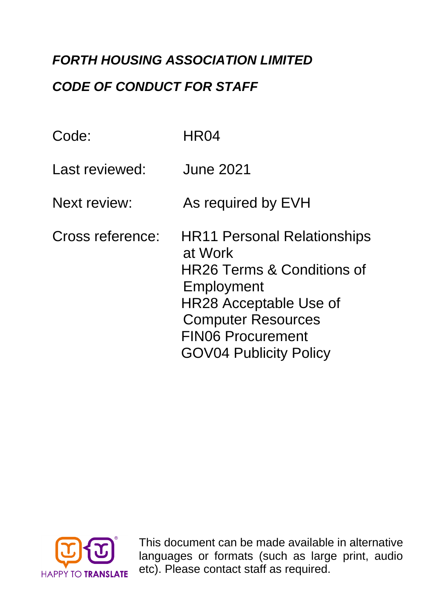# *FORTH HOUSING ASSOCIATION LIMITED*

## *CODE OF CONDUCT FOR STAFF*

| Code:               | HR04                                                                                                                                                                                                                            |
|---------------------|---------------------------------------------------------------------------------------------------------------------------------------------------------------------------------------------------------------------------------|
| Last reviewed:      | <b>June 2021</b>                                                                                                                                                                                                                |
| <b>Next review:</b> | As required by EVH                                                                                                                                                                                                              |
| Cross reference:    | <b>HR11 Personal Relationships</b><br>at Work<br><b>HR26 Terms &amp; Conditions of</b><br>Employment<br><b>HR28 Acceptable Use of</b><br><b>Computer Resources</b><br><b>FIN06 Procurement</b><br><b>GOV04 Publicity Policy</b> |



**Forth Association Forth Association Conducts** *This document can be made available in alternative* languages or formats (such as large print, audio etc). Please contact staff as required.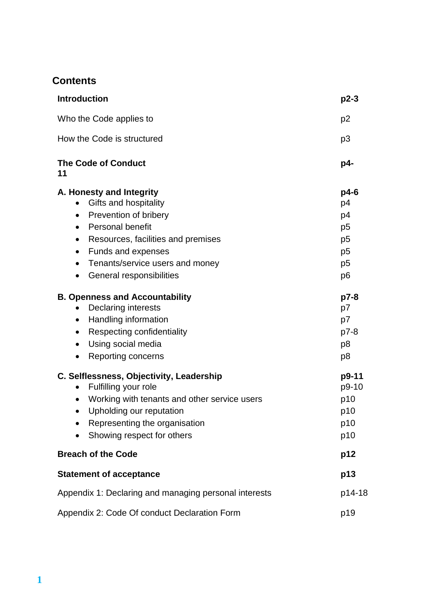## **Contents**

| <b>Introduction</b>                                                                                                                                                                                                                                                               | $p2-3$                                                                                           |
|-----------------------------------------------------------------------------------------------------------------------------------------------------------------------------------------------------------------------------------------------------------------------------------|--------------------------------------------------------------------------------------------------|
| Who the Code applies to                                                                                                                                                                                                                                                           | p <sub>2</sub>                                                                                   |
| How the Code is structured                                                                                                                                                                                                                                                        | p <sub>3</sub>                                                                                   |
| <b>The Code of Conduct</b><br>11                                                                                                                                                                                                                                                  | p4-                                                                                              |
| A. Honesty and Integrity<br>Gifts and hospitality<br>$\bullet$<br>Prevention of bribery<br><b>Personal benefit</b><br>$\bullet$<br>Resources, facilities and premises<br>٠<br>Funds and expenses<br>٠<br>Tenants/service users and money<br>$\bullet$<br>General responsibilities | $p4-6$<br>p4<br>p4<br>p <sub>5</sub><br>p <sub>5</sub><br>p <sub>5</sub><br>p <sub>5</sub><br>p6 |
| <b>B. Openness and Accountability</b><br><b>Declaring interests</b><br>$\bullet$<br>Handling information<br>٠<br>Respecting confidentiality<br>Using social media<br>$\bullet$<br>Reporting concerns<br>$\bullet$                                                                 | $p7-8$<br>p7<br>p7<br>$p7-8$<br>p <sub>8</sub><br>p <sub>8</sub>                                 |
| C. Selflessness, Objectivity, Leadership<br>Fulfilling your role<br>$\bullet$<br>Working with tenants and other service users<br>$\bullet$<br>Upholding our reputation<br>٠<br>Representing the organisation<br>Showing respect for others                                        | p9-11<br>p9-10<br>p10<br>p10<br>p10<br>p10                                                       |
| <b>Breach of the Code</b>                                                                                                                                                                                                                                                         | p12                                                                                              |
| <b>Statement of acceptance</b>                                                                                                                                                                                                                                                    | p13                                                                                              |
| Appendix 1: Declaring and managing personal interests                                                                                                                                                                                                                             |                                                                                                  |
| Appendix 2: Code Of conduct Declaration Form                                                                                                                                                                                                                                      | p19                                                                                              |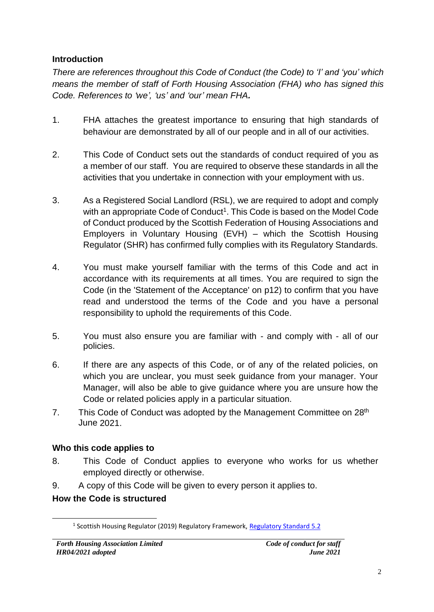#### **Introduction**

*There are references throughout this Code of Conduct (the Code) to 'I' and 'you' which means the member of staff of Forth Housing Association (FHA) who has signed this Code. References to 'we', 'us' and 'our' mean FHA.*

- 1. FHA attaches the greatest importance to ensuring that high standards of behaviour are demonstrated by all of our people and in all of our activities.
- 2. This Code of Conduct sets out the standards of conduct required of you as a member of our staff. You are required to observe these standards in all the activities that you undertake in connection with your employment with us.
- 3. As a Registered Social Landlord (RSL), we are required to adopt and comply with an appropriate Code of Conduct<sup>1</sup>. This Code is based on the Model Code of Conduct produced by the Scottish Federation of Housing Associations and Employers in Voluntary Housing (EVH) – which the Scottish Housing Regulator (SHR) has confirmed fully complies with its Regulatory Standards.
- 4. You must make yourself familiar with the terms of this Code and act in accordance with its requirements at all times. You are required to sign the Code (in the 'Statement of the Acceptance' on p12) to confirm that you have read and understood the terms of the Code and you have a personal responsibility to uphold the requirements of this Code.
- 5. You must also ensure you are familiar with and comply with all of our policies.
- 6. If there are any aspects of this Code, or of any of the related policies, on which you are unclear, you must seek guidance from your manager. Your Manager, will also be able to give guidance where you are unsure how the Code or related policies apply in a particular situation.
- 7. This Code of Conduct was adopted by the Management Committee on 28<sup>th</sup> June 2021.

#### **Who this code applies to**

- 8. This Code of Conduct applies to everyone who works for us whether employed directly or otherwise.
- 9. A copy of this Code will be given to every person it applies to.

#### **How the Code is structured**

<sup>&</sup>lt;sup>1</sup> Scottish Housing Regulator (2019) Regulatory Framework, [Regulatory Standard 5.2](https://www.housingregulator.gov.scot/for-landlords/regulatory-framework#section-3)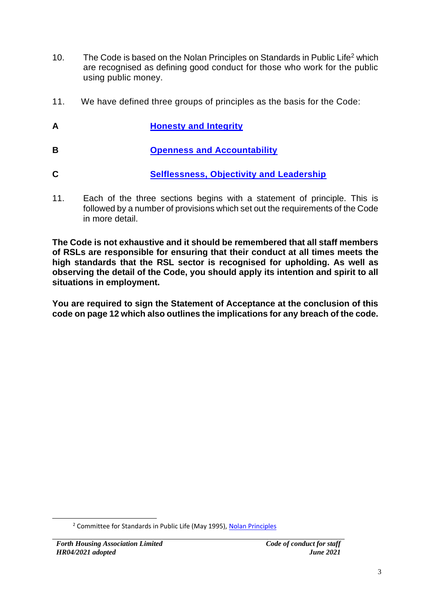- 10. The Code is based on the Nolan Principles on Standards in Public Life<sup>2</sup> which are recognised as defining good conduct for those who work for the public using public money.
- 11. We have defined three groups of principles as the basis for the Code:
- **A [Honesty and Integrity](#page-4-0)**
- **B [Openness and Accountability](#page-7-0)**
- **C [Selflessness, Objectivity and Leadership](#page-9-0)**
- 11. Each of the three sections begins with a statement of principle. This is followed by a number of provisions which set out the requirements of the Code in more detail.

**The Code is not exhaustive and it should be remembered that all staff members of RSLs are responsible for ensuring that their conduct at all times meets the high standards that the RSL sector is recognised for upholding. As well as observing the detail of the Code, you should apply its intention and spirit to all situations in employment.**

**You are required to sign the Statement of Acceptance at the conclusion of this code on page 12 which also outlines the implications for any breach of the code.**

<sup>&</sup>lt;sup>2</sup> Committee for Standards in Public Life (May 1995), [Nolan Principles](https://www.gov.uk/government/publications/the-7-principles-of-public-life/the-7-principles-of-public-life--2)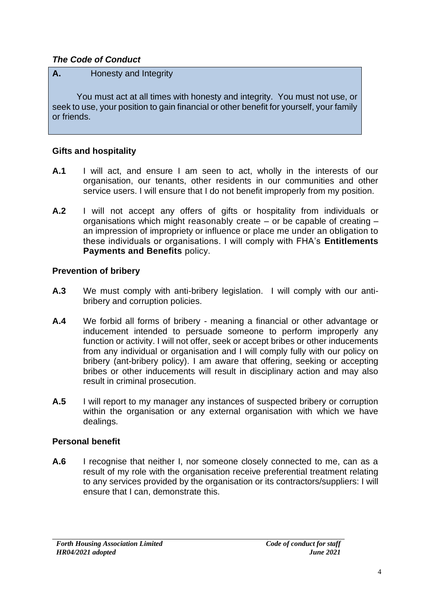#### <span id="page-4-0"></span>*The Code of Conduct*

#### **A.** Honesty and Integrity

 You must act at all times with honesty and integrity. You must not use, or seek to use, your position to gain financial or other benefit for yourself, your family or friends.

#### **Gifts and hospitality**

- **A.1** I will act, and ensure I am seen to act, wholly in the interests of our organisation, our tenants, other residents in our communities and other service users. I will ensure that I do not benefit improperly from my position.
- **A.2** I will not accept any offers of gifts or hospitality from individuals or organisations which might reasonably create – or be capable of creating – an impression of impropriety or influence or place me under an obligation to these individuals or organisations. I will comply with FHA's **Entitlements Payments and Benefits** policy.

#### **Prevention of bribery**

- **A.3** We must comply with anti-bribery legislation. I will comply with our antibribery and corruption policies.
- **A.4** We forbid all forms of bribery meaning a financial or other advantage or inducement intended to persuade someone to perform improperly any function or activity. I will not offer, seek or accept bribes or other inducements from any individual or organisation and I will comply fully with our policy on bribery (ant-bribery policy). I am aware that offering, seeking or accepting bribes or other inducements will result in disciplinary action and may also result in criminal prosecution.
- **A.5** I will report to my manager any instances of suspected bribery or corruption within the organisation or any external organisation with which we have dealings.

#### **Personal benefit**

**A.6** I recognise that neither I, nor someone closely connected to me, can as a result of my role with the organisation receive preferential treatment relating to any services provided by the organisation or its contractors/suppliers: I will ensure that I can, demonstrate this.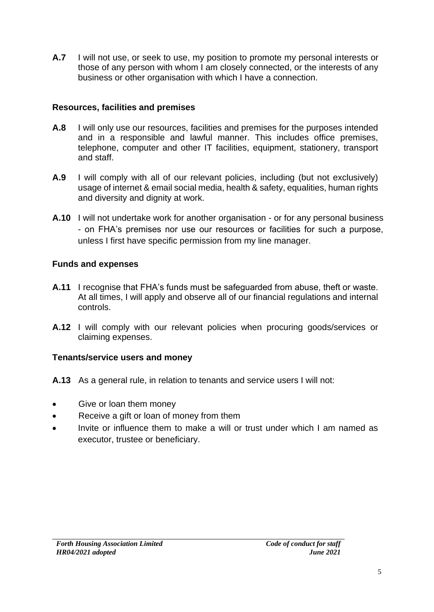**A.7** I will not use, or seek to use, my position to promote my personal interests or those of any person with whom I am closely connected, or the interests of any business or other organisation with which I have a connection.

#### **Resources, facilities and premises**

- **A.8** I will only use our resources, facilities and premises for the purposes intended and in a responsible and lawful manner. This includes office premises, telephone, computer and other IT facilities, equipment, stationery, transport and staff.
- **A.9** I will comply with all of our relevant policies, including (but not exclusively) usage of internet & email social media, health & safety, equalities, human rights and diversity and dignity at work.
- **A.10** I will not undertake work for another organisation or for any personal business - on FHA's premises nor use our resources or facilities for such a purpose, unless I first have specific permission from my line manager.

#### **Funds and expenses**

- **A.11** I recognise that FHA's funds must be safeguarded from abuse, theft or waste. At all times, I will apply and observe all of our financial regulations and internal controls.
- **A.12** I will comply with our relevant policies when procuring goods/services or claiming expenses.

#### **Tenants/service users and money**

- **A.13** As a general rule, in relation to tenants and service users I will not:
- Give or loan them money
- Receive a gift or loan of money from them
- Invite or influence them to make a will or trust under which I am named as executor, trustee or beneficiary.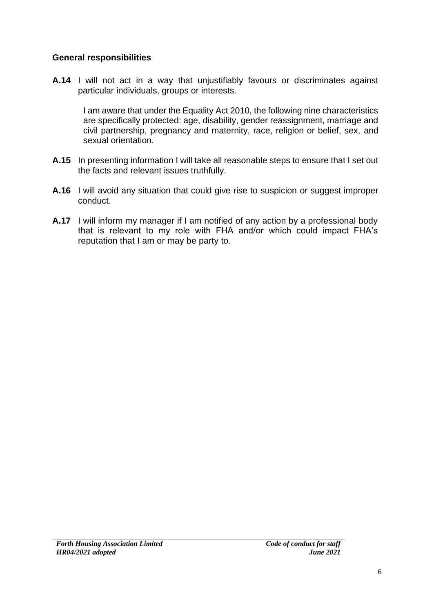#### **General responsibilities**

**A.14** I will not act in a way that unjustifiably favours or discriminates against particular individuals, groups or interests.

I am aware that under the Equality Act 2010, the following nine characteristics are specifically protected: age, disability, gender reassignment, marriage and civil partnership, pregnancy and maternity, race, religion or belief, sex, and sexual orientation.

- **A.15** In presenting information I will take all reasonable steps to ensure that I set out the facts and relevant issues truthfully.
- **A.16** I will avoid any situation that could give rise to suspicion or suggest improper conduct.
- **A.17** I will inform my manager if I am notified of any action by a professional body that is relevant to my role with FHA and/or which could impact FHA's reputation that I am or may be party to.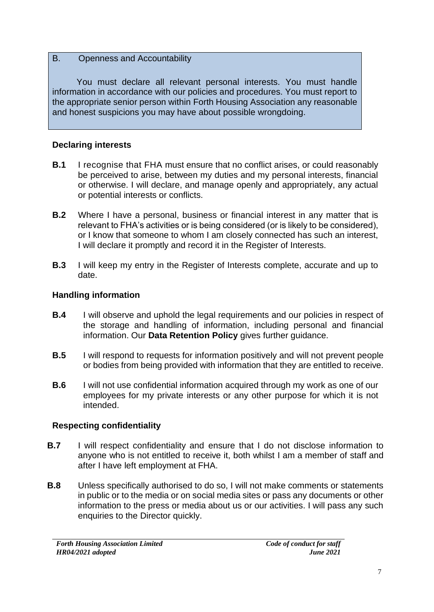#### <span id="page-7-0"></span>B. Openness and Accountability

 You must declare all relevant personal interests. You must handle information in accordance with our policies and procedures. You must report to the appropriate senior person within Forth Housing Association any reasonable and honest suspicions you may have about possible wrongdoing.

#### **Declaring interests**

- **B.1** I recognise that FHA must ensure that no conflict arises, or could reasonably be perceived to arise, between my duties and my personal interests, financial or otherwise. I will declare, and manage openly and appropriately, any actual or potential interests or conflicts.
- **B.2** Where I have a personal, business or financial interest in any matter that is relevant to FHA's activities or is being considered (or is likely to be considered), or I know that someone to whom I am closely connected has such an interest, I will declare it promptly and record it in the Register of Interests.
- **B.3** I will keep my entry in the Register of Interests complete, accurate and up to date.

#### **Handling information**

- **B.4** I will observe and uphold the legal requirements and our policies in respect of the storage and handling of information, including personal and financial information. Our **Data Retention Policy** gives further guidance.
- **B.5** I will respond to requests for information positively and will not prevent people or bodies from being provided with information that they are entitled to receive.
- **B.6** I will not use confidential information acquired through my work as one of our employees for my private interests or any other purpose for which it is not intended.

#### **Respecting confidentiality**

- **B.7** I will respect confidentiality and ensure that I do not disclose information to anyone who is not entitled to receive it, both whilst I am a member of staff and after I have left employment at FHA.
- **B.8** Unless specifically authorised to do so, I will not make comments or statements in public or to the media or on social media sites or pass any documents or other information to the press or media about us or our activities. I will pass any such enquiries to the Director quickly.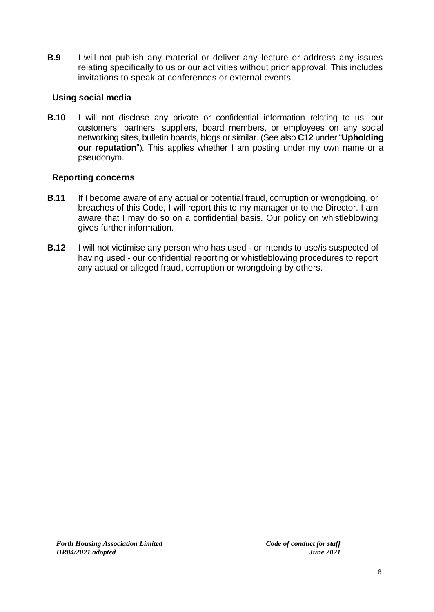**B.9** I will not publish any material or deliver any lecture or address any issues relating specifically to us or our activities without prior approval. This includes invitations to speak at conferences or external events.

#### **Using social media**

**B.10** I will not disclose any private or confidential information relating to us, our customers, partners, suppliers, board members, or employees on any social networking sites, bulletin boards, blogs or similar. (See also **C12** under "**Upholding our reputation**"). This applies whether I am posting under my own name or a pseudonym.

#### **Reporting concerns**

- **B.11** If I become aware of any actual or potential fraud, corruption or wrongdoing, or breaches of this Code, I will report this to my manager or to the Director. I am aware that I may do so on a confidential basis. Our policy on whistleblowing gives further information.
- **B.12** I will not victimise any person who has used or intends to use/is suspected of having used - our confidential reporting or whistleblowing procedures to report any actual or alleged fraud, corruption or wrongdoing by others.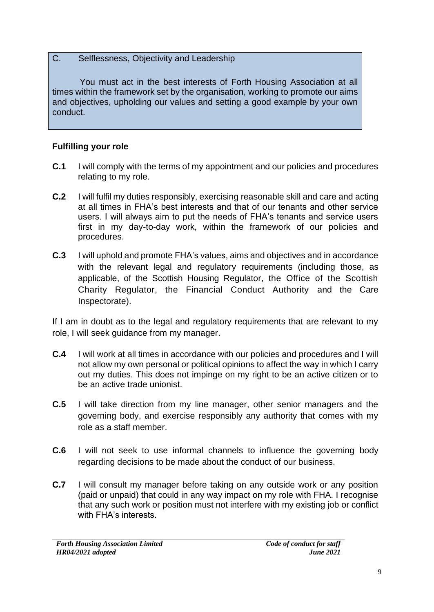#### <span id="page-9-0"></span>C. Selflessness, Objectivity and Leadership

 You must act in the best interests of Forth Housing Association at all times within the framework set by the organisation, working to promote our aims and objectives, upholding our values and setting a good example by your own conduct.

#### **Fulfilling your role**

- **C.1** I will comply with the terms of my appointment and our policies and procedures relating to my role.
- **C.2** I will fulfil my duties responsibly, exercising reasonable skill and care and acting at all times in FHA's best interests and that of our tenants and other service users. I will always aim to put the needs of FHA's tenants and service users first in my day-to-day work, within the framework of our policies and procedures.
- **C.3** I will uphold and promote FHA's values, aims and objectives and in accordance with the relevant legal and regulatory requirements (including those, as applicable, of the Scottish Housing Regulator, the Office of the Scottish Charity Regulator, the Financial Conduct Authority and the Care Inspectorate).

If I am in doubt as to the legal and regulatory requirements that are relevant to my role, I will seek guidance from my manager.

- **C.4** I will work at all times in accordance with our policies and procedures and I will not allow my own personal or political opinions to affect the way in which I carry out my duties. This does not impinge on my right to be an active citizen or to be an active trade unionist.
- **C.5** I will take direction from my line manager, other senior managers and the governing body, and exercise responsibly any authority that comes with my role as a staff member.
- **C.6** I will not seek to use informal channels to influence the governing body regarding decisions to be made about the conduct of our business.
- **C.7** I will consult my manager before taking on any outside work or any position (paid or unpaid) that could in any way impact on my role with FHA. I recognise that any such work or position must not interfere with my existing job or conflict with FHA's interests.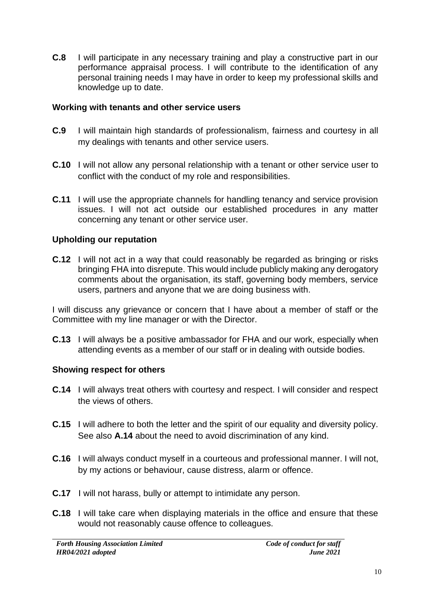**C.8** I will participate in any necessary training and play a constructive part in our performance appraisal process. I will contribute to the identification of any personal training needs I may have in order to keep my professional skills and knowledge up to date.

#### **Working with tenants and other service users**

- **C.9** I will maintain high standards of professionalism, fairness and courtesy in all my dealings with tenants and other service users.
- **C.10** I will not allow any personal relationship with a tenant or other service user to conflict with the conduct of my role and responsibilities.
- **C.11** I will use the appropriate channels for handling tenancy and service provision issues. I will not act outside our established procedures in any matter concerning any tenant or other service user.

#### **Upholding our reputation**

**C.12** I will not act in a way that could reasonably be regarded as bringing or risks bringing FHA into disrepute. This would include publicly making any derogatory comments about the organisation, its staff, governing body members, service users, partners and anyone that we are doing business with.

I will discuss any grievance or concern that I have about a member of staff or the Committee with my line manager or with the Director.

**C.13** I will always be a positive ambassador for FHA and our work, especially when attending events as a member of our staff or in dealing with outside bodies.

#### **Showing respect for others**

- **C.14** I will always treat others with courtesy and respect. I will consider and respect the views of others.
- **C.15** I will adhere to both the letter and the spirit of our equality and diversity policy. See also **A.14** about the need to avoid discrimination of any kind.
- **C.16** I will always conduct myself in a courteous and professional manner. I will not, by my actions or behaviour, cause distress, alarm or offence.
- **C.17** I will not harass, bully or attempt to intimidate any person.
- **C.18** I will take care when displaying materials in the office and ensure that these would not reasonably cause offence to colleagues.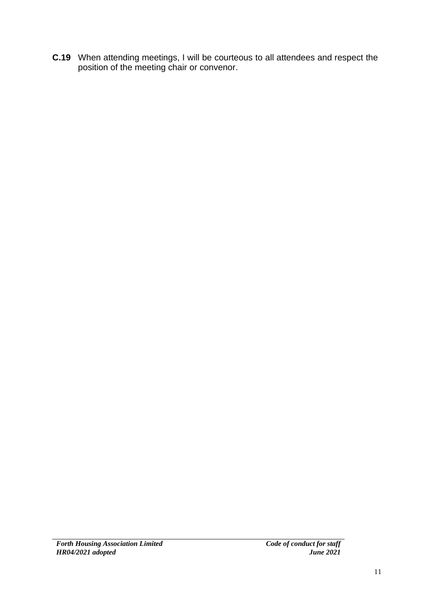**C.19** When attending meetings, I will be courteous to all attendees and respect the position of the meeting chair or convenor.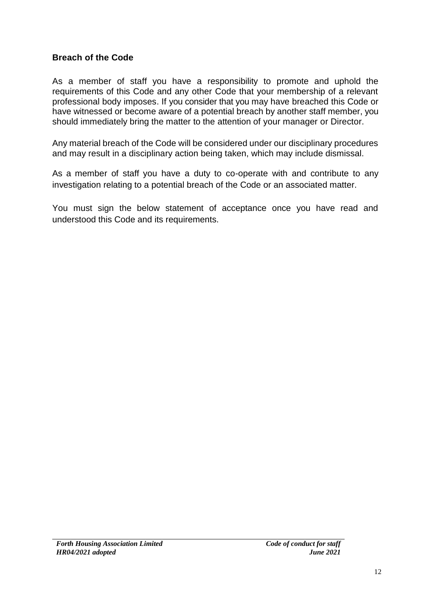#### **Breach of the Code**

As a member of staff you have a responsibility to promote and uphold the requirements of this Code and any other Code that your membership of a relevant professional body imposes. If you consider that you may have breached this Code or have witnessed or become aware of a potential breach by another staff member, you should immediately bring the matter to the attention of your manager or Director.

Any material breach of the Code will be considered under our disciplinary procedures and may result in a disciplinary action being taken, which may include dismissal.

As a member of staff you have a duty to co-operate with and contribute to any investigation relating to a potential breach of the Code or an associated matter.

You must sign the below statement of acceptance once you have read and understood this Code and its requirements.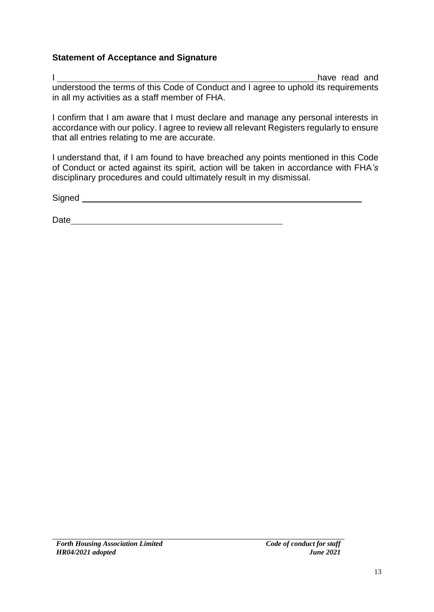#### **Statement of Acceptance and Signature**

I have read and understood the terms of this Code of Conduct and I agree to uphold its requirements in all my activities as a staff member of FHA.

I confirm that I am aware that I must declare and manage any personal interests in accordance with our policy. I agree to review all relevant Registers regularly to ensure that all entries relating to me are accurate.

I understand that, if I am found to have breached any points mentioned in this Code of Conduct or acted against its spirit, action will be taken in accordance with FHA*'s* disciplinary procedures and could ultimately result in my dismissal.

Signed **Signed** 

Date and the contract of the contract of the contract of the contract of the contract of the contract of the contract of the contract of the contract of the contract of the contract of the contract of the contract of the c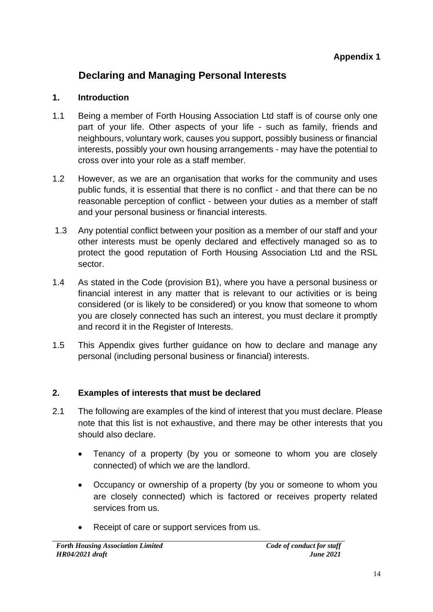### **Declaring and Managing Personal Interests**

#### **1. Introduction**

- 1.1 Being a member of Forth Housing Association Ltd staff is of course only one part of your life. Other aspects of your life - such as family, friends and neighbours, voluntary work, causes you support, possibly business or financial interests, possibly your own housing arrangements - may have the potential to cross over into your role as a staff member.
- 1.2 However, as we are an organisation that works for the community and uses public funds, it is essential that there is no conflict - and that there can be no reasonable perception of conflict - between your duties as a member of staff and your personal business or financial interests.
- 1.3 Any potential conflict between your position as a member of our staff and your other interests must be openly declared and effectively managed so as to protect the good reputation of Forth Housing Association Ltd and the RSL sector.
- 1.4 As stated in the Code (provision B1), where you have a personal business or financial interest in any matter that is relevant to our activities or is being considered (or is likely to be considered) or you know that someone to whom you are closely connected has such an interest, you must declare it promptly and record it in the Register of Interests.
- 1.5 This Appendix gives further guidance on how to declare and manage any personal (including personal business or financial) interests.

#### **2. Examples of interests that must be declared**

- 2.1 The following are examples of the kind of interest that you must declare. Please note that this list is not exhaustive, and there may be other interests that you should also declare.
	- Tenancy of a property (by you or someone to whom you are closely connected) of which we are the landlord.
	- Occupancy or ownership of a property (by you or someone to whom you are closely connected) which is factored or receives property related services from us.
	- Receipt of care or support services from us.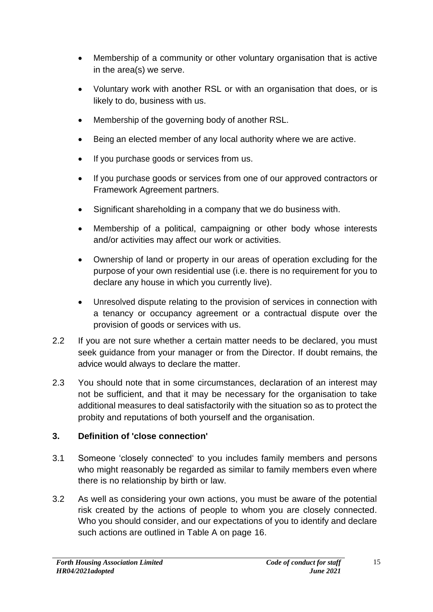- Membership of a community or other voluntary organisation that is active in the area(s) we serve.
- Voluntary work with another RSL or with an organisation that does, or is likely to do, business with us.
- Membership of the governing body of another RSL.
- Being an elected member of any local authority where we are active.
- If you purchase goods or services from us.
- If you purchase goods or services from one of our approved contractors or Framework Agreement partners.
- Significant shareholding in a company that we do business with.
- Membership of a political, campaigning or other body whose interests and/or activities may affect our work or activities.
- Ownership of land or property in our areas of operation excluding for the purpose of your own residential use (i.e. there is no requirement for you to declare any house in which you currently live).
- Unresolved dispute relating to the provision of services in connection with a tenancy or occupancy agreement or a contractual dispute over the provision of goods or services with us.
- 2.2 If you are not sure whether a certain matter needs to be declared, you must seek guidance from your manager or from the Director. If doubt remains, the advice would always to declare the matter.
- 2.3 You should note that in some circumstances, declaration of an interest may not be sufficient, and that it may be necessary for the organisation to take additional measures to deal satisfactorily with the situation so as to protect the probity and reputations of both yourself and the organisation.

#### **3. Definition of 'close connection'**

- 3.1 Someone 'closely connected' to you includes family members and persons who might reasonably be regarded as similar to family members even where there is no relationship by birth or law.
- 3.2 As well as considering your own actions, you must be aware of the potential risk created by the actions of people to whom you are closely connected. Who you should consider, and our expectations of you to identify and declare such actions are outlined in Table A on page 16.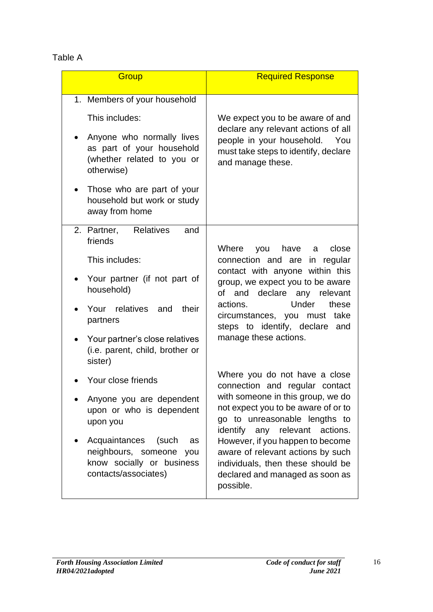#### Table A

| Group                                                                                                           | <b>Required Response</b>                                                                                                                                                                                                          |  |
|-----------------------------------------------------------------------------------------------------------------|-----------------------------------------------------------------------------------------------------------------------------------------------------------------------------------------------------------------------------------|--|
| 1. Members of your household                                                                                    |                                                                                                                                                                                                                                   |  |
| This includes:                                                                                                  | We expect you to be aware of and                                                                                                                                                                                                  |  |
| Anyone who normally lives<br>as part of your household<br>(whether related to you or<br>otherwise)              | declare any relevant actions of all<br>people in your household. You<br>must take steps to identify, declare<br>and manage these.                                                                                                 |  |
| Those who are part of your<br>household but work or study<br>away from home                                     |                                                                                                                                                                                                                                   |  |
| 2. Partner, Relatives<br>and<br>friends                                                                         | Where<br>you have a<br>close                                                                                                                                                                                                      |  |
| This includes:                                                                                                  | connection and are in regular                                                                                                                                                                                                     |  |
| Your partner (if not part of<br>household)                                                                      | contact with anyone within this<br>group, we expect you to be aware<br>of and declare any relevant<br>Under<br>actions.<br>these<br>circumstances, you must<br>take<br>steps to identify, declare<br>and<br>manage these actions. |  |
| Your relatives and<br>their<br>partners                                                                         |                                                                                                                                                                                                                                   |  |
| Your partner's close relatives<br>(i.e. parent, child, brother or<br>sister)                                    |                                                                                                                                                                                                                                   |  |
| Your close friends                                                                                              | Where you do not have a close<br>connection and regular contact                                                                                                                                                                   |  |
| Anyone you are dependent<br>upon or who is dependent<br>upon you                                                | with someone in this group, we do<br>not expect you to be aware of or to<br>go to unreasonable lengths to<br>identify any relevant actions.                                                                                       |  |
| Acquaintances<br>(such<br>as<br>neighbours, someone<br>you<br>know socially or business<br>contacts/associates) | However, if you happen to become<br>aware of relevant actions by such<br>individuals, then these should be<br>declared and managed as soon as<br>possible.                                                                        |  |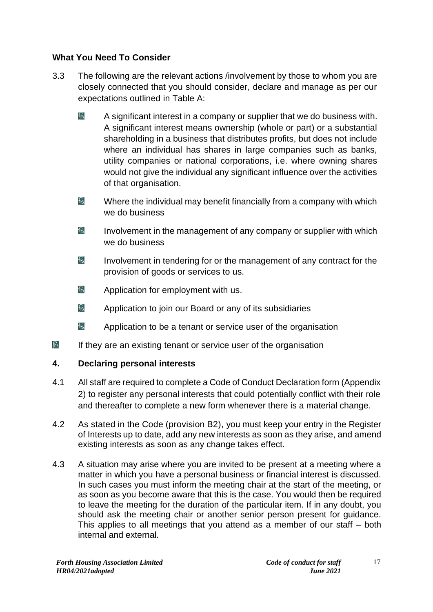#### **What You Need To Consider**

- 3.3 The following are the relevant actions /involvement by those to whom you are closely connected that you should consider, declare and manage as per our expectations outlined in Table A:
	- $\mathbb{R}$ A significant interest in a company or supplier that we do business with. A significant interest means ownership (whole or part) or a substantial shareholding in a business that distributes profits, but does not include where an individual has shares in large companies such as banks, utility companies or national corporations, i.e. where owning shares would not give the individual any significant influence over the activities of that organisation.
	- $E_{\rm A}$ Where the individual may benefit financially from a company with which we do business
	- $E_{\lambda}$ Involvement in the management of any company or supplier with which we do business
	- $E_{\rm A}$ Involvement in tendering for or the management of any contract for the provision of goods or services to us.
	- ba Application for employment with us.
	- bi Application to join our Board or any of its subsidiaries
	- $E_{\rm A}$ Application to be a tenant or service user of the organisation
- bi If they are an existing tenant or service user of the organisation

#### **4. Declaring personal interests**

- 4.1 All staff are required to complete a Code of Conduct Declaration form (Appendix 2) to register any personal interests that could potentially conflict with their role and thereafter to complete a new form whenever there is a material change.
- 4.2 As stated in the Code (provision B2), you must keep your entry in the Register of Interests up to date, add any new interests as soon as they arise, and amend existing interests as soon as any change takes effect.
- 4.3 A situation may arise where you are invited to be present at a meeting where a matter in which you have a personal business or financial interest is discussed. In such cases you must inform the meeting chair at the start of the meeting, or as soon as you become aware that this is the case. You would then be required to leave the meeting for the duration of the particular item. If in any doubt, you should ask the meeting chair or another senior person present for guidance. This applies to all meetings that you attend as a member of our staff – both internal and external.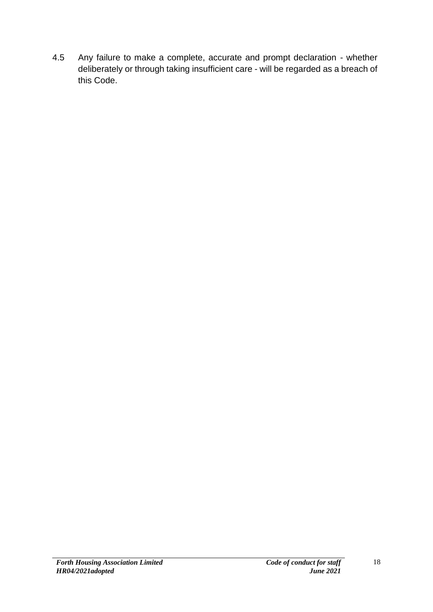4.5 Any failure to make a complete, accurate and prompt declaration - whether deliberately or through taking insufficient care - will be regarded as a breach of this Code.